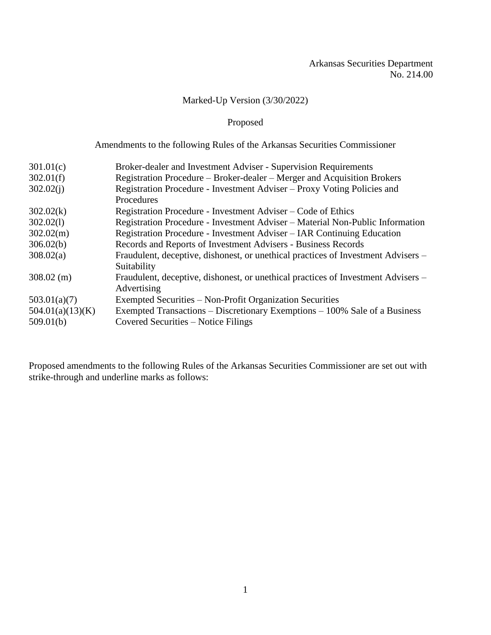# Marked-Up Version (3/30/2022)

# Proposed

# Amendments to the following Rules of the Arkansas Securities Commissioner

| 301.01(c)        | Broker-dealer and Investment Adviser - Supervision Requirements                   |
|------------------|-----------------------------------------------------------------------------------|
| 302.01(f)        | Registration Procedure – Broker-dealer – Merger and Acquisition Brokers           |
| 302.02(i)        | Registration Procedure - Investment Adviser – Proxy Voting Policies and           |
|                  | Procedures                                                                        |
| 302.02(k)        | Registration Procedure - Investment Adviser – Code of Ethics                      |
| 302.02(1)        | Registration Procedure - Investment Adviser - Material Non-Public Information     |
| 302.02(m)        | Registration Procedure - Investment Adviser – IAR Continuing Education            |
| 306.02(b)        | Records and Reports of Investment Advisers - Business Records                     |
| 308.02(a)        | Fraudulent, deceptive, dishonest, or unethical practices of Investment Advisers – |
|                  | Suitability                                                                       |
| $308.02$ (m)     | Fraudulent, deceptive, dishonest, or unethical practices of Investment Advisers – |
|                  | Advertising                                                                       |
| 503.01(a)(7)     | Exempted Securities – Non-Profit Organization Securities                          |
| 504.01(a)(13)(K) | Exempted Transactions – Discretionary Exemptions – 100% Sale of a Business        |
| 509.01(b)        | Covered Securities – Notice Filings                                               |
|                  |                                                                                   |

Proposed amendments to the following Rules of the Arkansas Securities Commissioner are set out with strike-through and underline marks as follows: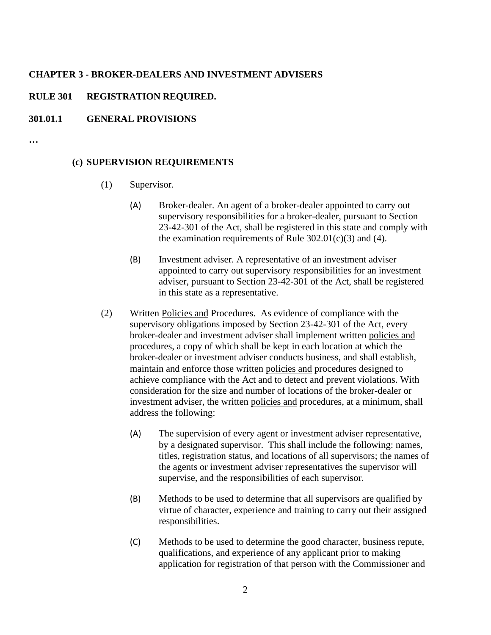#### **CHAPTER 3 - BROKER-DEALERS AND INVESTMENT ADVISERS**

## **RULE 301 REGISTRATION REQUIRED.**

## **301.01.1 GENERAL PROVISIONS**

**…**

#### **(c) SUPERVISION REQUIREMENTS**

- (1) Supervisor.
	- (A) Broker-dealer. An agent of a broker-dealer appointed to carry out supervisory responsibilities for a broker-dealer, pursuant to Section 23-42-301 of the Act, shall be registered in this state and comply with the examination requirements of Rule  $302.01(c)(3)$  and (4).
	- (B) Investment adviser. A representative of an investment adviser appointed to carry out supervisory responsibilities for an investment adviser, pursuant to Section 23-42-301 of the Act, shall be registered in this state as a representative.
- (2) Written Policies and Procedures. As evidence of compliance with the supervisory obligations imposed by Section 23-42-301 of the Act, every broker-dealer and investment adviser shall implement written policies and procedures, a copy of which shall be kept in each location at which the broker-dealer or investment adviser conducts business, and shall establish, maintain and enforce those written policies and procedures designed to achieve compliance with the Act and to detect and prevent violations. With consideration for the size and number of locations of the broker-dealer or investment adviser, the written policies and procedures, at a minimum, shall address the following:
	- (A) The supervision of every agent or investment adviser representative, by a designated supervisor. This shall include the following: names, titles, registration status, and locations of all supervisors; the names of the agents or investment adviser representatives the supervisor will supervise, and the responsibilities of each supervisor.
	- (B) Methods to be used to determine that all supervisors are qualified by virtue of character, experience and training to carry out their assigned responsibilities.
	- (C) Methods to be used to determine the good character, business repute, qualifications, and experience of any applicant prior to making application for registration of that person with the Commissioner and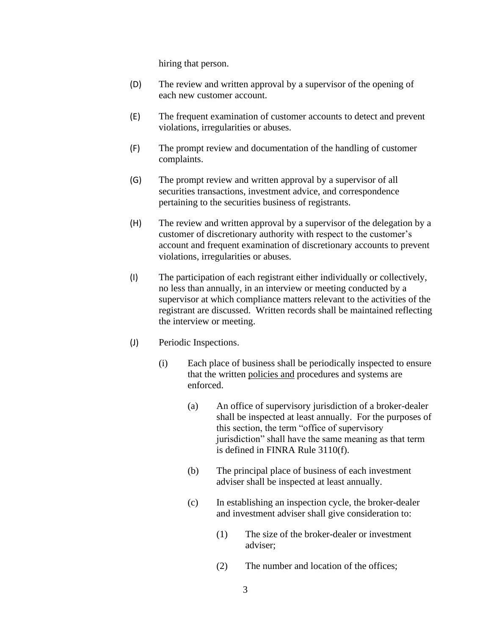hiring that person.

- (D) The review and written approval by a supervisor of the opening of each new customer account.
- (E) The frequent examination of customer accounts to detect and prevent violations, irregularities or abuses.
- (F) The prompt review and documentation of the handling of customer complaints.
- (G) The prompt review and written approval by a supervisor of all securities transactions, investment advice, and correspondence pertaining to the securities business of registrants.
- (H) The review and written approval by a supervisor of the delegation by a customer of discretionary authority with respect to the customer's account and frequent examination of discretionary accounts to prevent violations, irregularities or abuses.
- (I) The participation of each registrant either individually or collectively, no less than annually, in an interview or meeting conducted by a supervisor at which compliance matters relevant to the activities of the registrant are discussed. Written records shall be maintained reflecting the interview or meeting.
- (J) Periodic Inspections.
	- (i) Each place of business shall be periodically inspected to ensure that the written policies and procedures and systems are enforced.
		- (a) An office of supervisory jurisdiction of a broker-dealer shall be inspected at least annually. For the purposes of this section, the term "office of supervisory jurisdiction" shall have the same meaning as that term is defined in FINRA Rule 3110(f).
		- (b) The principal place of business of each investment adviser shall be inspected at least annually.
		- (c) In establishing an inspection cycle, the broker-dealer and investment adviser shall give consideration to:
			- (1) The size of the broker-dealer or investment adviser;
			- (2) The number and location of the offices;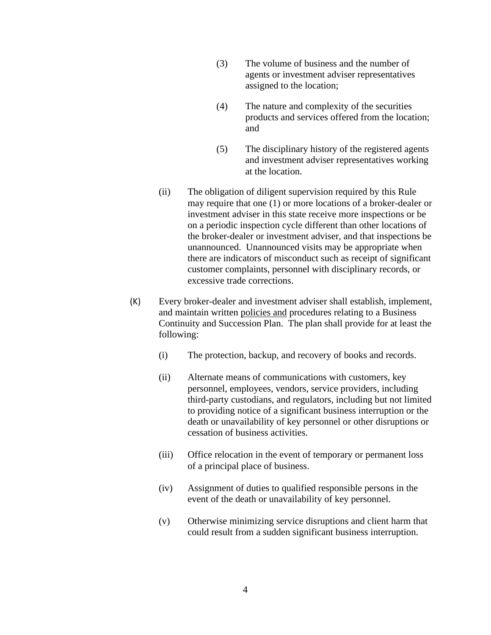- (3) The volume of business and the number of agents or investment adviser representatives assigned to the location;
- (4) The nature and complexity of the securities products and services offered from the location; and
- (5) The disciplinary history of the registered agents and investment adviser representatives working at the location.
- (ii) The obligation of diligent supervision required by this Rule may require that one (1) or more locations of a broker-dealer or investment adviser in this state receive more inspections or be on a periodic inspection cycle different than other locations of the broker-dealer or investment adviser, and that inspections be unannounced. Unannounced visits may be appropriate when there are indicators of misconduct such as receipt of significant customer complaints, personnel with disciplinary records, or excessive trade corrections.
- (K) Every broker-dealer and investment adviser shall establish, implement, and maintain written policies and procedures relating to a Business Continuity and Succession Plan. The plan shall provide for at least the following:
	- (i) The protection, backup, and recovery of books and records.
	- (ii) Alternate means of communications with customers, key personnel, employees, vendors, service providers, including third-party custodians, and regulators, including but not limited to providing notice of a significant business interruption or the death or unavailability of key personnel or other disruptions or cessation of business activities.
	- (iii) Office relocation in the event of temporary or permanent loss of a principal place of business.
	- (iv) Assignment of duties to qualified responsible persons in the event of the death or unavailability of key personnel.
	- (v) Otherwise minimizing service disruptions and client harm that could result from a sudden significant business interruption.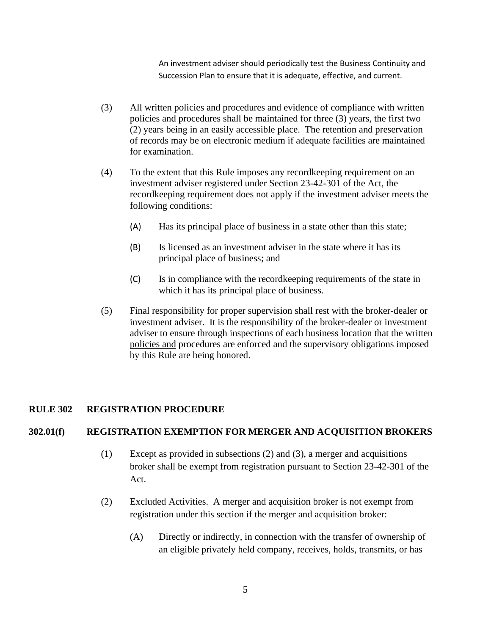An investment adviser should periodically test the Business Continuity and Succession Plan to ensure that it is adequate, effective, and current.

- (3) All written policies and procedures and evidence of compliance with written policies and procedures shall be maintained for three (3) years, the first two (2) years being in an easily accessible place. The retention and preservation of records may be on electronic medium if adequate facilities are maintained for examination.
- (4) To the extent that this Rule imposes any recordkeeping requirement on an investment adviser registered under Section 23-42-301 of the Act, the recordkeeping requirement does not apply if the investment adviser meets the following conditions:
	- (A) Has its principal place of business in a state other than this state;
	- (B) Is licensed as an investment adviser in the state where it has its principal place of business; and
	- (C) Is in compliance with the recordkeeping requirements of the state in which it has its principal place of business.
- (5) Final responsibility for proper supervision shall rest with the broker-dealer or investment adviser. It is the responsibility of the broker-dealer or investment adviser to ensure through inspections of each business location that the written policies and procedures are enforced and the supervisory obligations imposed by this Rule are being honored.

# **RULE 302 REGISTRATION PROCEDURE**

#### **302.01(f) REGISTRATION EXEMPTION FOR MERGER AND ACQUISITION BROKERS**

- (1) Except as provided in subsections (2) and (3), a merger and acquisitions broker shall be exempt from registration pursuant to Section 23-42-301 of the Act.
- (2) Excluded Activities. A merger and acquisition broker is not exempt from registration under this section if the merger and acquisition broker:
	- (A) Directly or indirectly, in connection with the transfer of ownership of an eligible privately held company, receives, holds, transmits, or has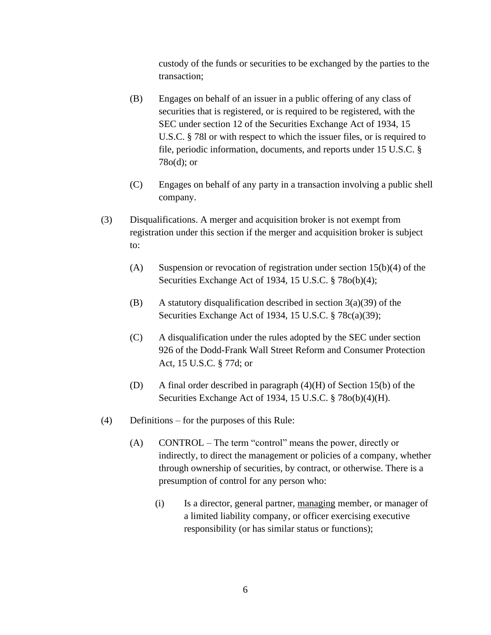custody of the funds or securities to be exchanged by the parties to the transaction;

- (B) Engages on behalf of an issuer in a public offering of any class of securities that is registered, or is required to be registered, with the SEC under section 12 of the Securities Exchange Act of 1934, 15 U.S.C. § 78l or with respect to which the issuer files, or is required to file, periodic information, documents, and reports under 15 U.S.C. § 78o(d); or
- (C) Engages on behalf of any party in a transaction involving a public shell company.
- (3) Disqualifications. A merger and acquisition broker is not exempt from registration under this section if the merger and acquisition broker is subject to:
	- (A) Suspension or revocation of registration under section  $15(b)(4)$  of the Securities Exchange Act of 1934, 15 U.S.C. § 78o(b)(4);
	- (B) A statutory disqualification described in section  $3(a)(39)$  of the Securities Exchange Act of 1934, 15 U.S.C. § 78c(a)(39);
	- (C) A disqualification under the rules adopted by the SEC under section 926 of the Dodd-Frank Wall Street Reform and Consumer Protection Act, 15 U.S.C. § 77d; or
	- (D) A final order described in paragraph (4)(H) of Section 15(b) of the Securities Exchange Act of 1934, 15 U.S.C. § 78o(b)(4)(H).
- (4) Definitions for the purposes of this Rule:
	- (A) CONTROL The term "control" means the power, directly or indirectly, to direct the management or policies of a company, whether through ownership of securities, by contract, or otherwise. There is a presumption of control for any person who:
		- (i) Is a director, general partner, managing member, or manager of a limited liability company, or officer exercising executive responsibility (or has similar status or functions);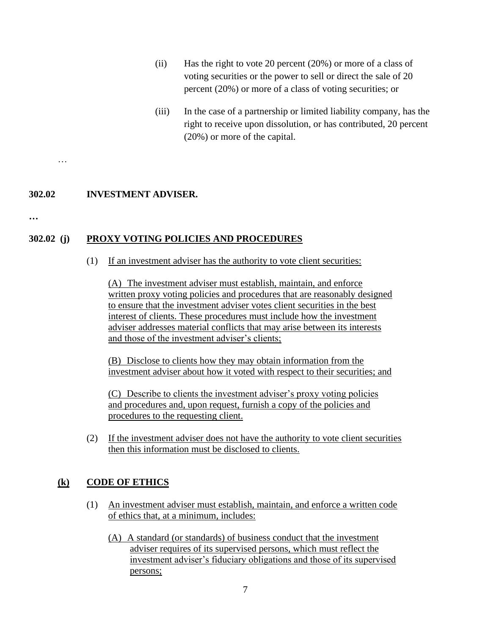- (ii) Has the right to vote 20 percent (20%) or more of a class of voting securities or the power to sell or direct the sale of 20 percent (20%) or more of a class of voting securities; or
- (iii) In the case of a partnership or limited liability company, has the right to receive upon dissolution, or has contributed, 20 percent (20%) or more of the capital.

# **302.02 INVESTMENT ADVISER.**

**…**

…

# **302.02 (j) PROXY VOTING POLICIES AND PROCEDURES**

(1) If an investment adviser has the authority to vote client securities:

(A) The investment adviser must establish, maintain, and enforce written proxy voting policies and procedures that are reasonably designed to ensure that the investment adviser votes client securities in the best interest of clients. These procedures must include how the investment adviser addresses material conflicts that may arise between its interests and those of the investment adviser's clients;

(B) Disclose to clients how they may obtain information from the investment adviser about how it voted with respect to their securities; and

(C) Describe to clients the investment adviser's proxy voting policies and procedures and, upon request, furnish a copy of the policies and procedures to the requesting client.

(2) If the investment adviser does not have the authority to vote client securities then this information must be disclosed to clients.

## **(k) CODE OF ETHICS**

- (1) An investment adviser must establish, maintain, and enforce a written code of ethics that, at a minimum, includes:
	- (A) A standard (or standards) of business conduct that the investment adviser requires of its supervised persons, which must reflect the investment adviser's fiduciary obligations and those of its supervised persons;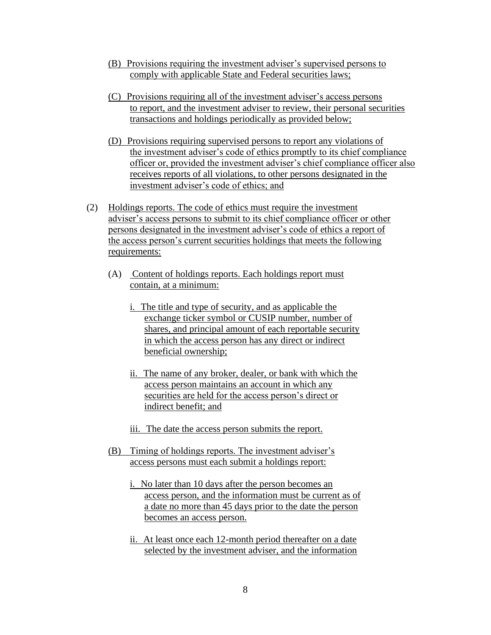- (B) Provisions requiring the investment adviser's supervised persons to comply with applicable State and Federal securities laws;
- (C) Provisions requiring all of the investment adviser's access persons to report, and the investment adviser to review, their personal securities transactions and holdings periodically as provided below;
- (D) Provisions requiring supervised persons to report any violations of the investment adviser's code of ethics promptly to its chief compliance officer or, provided the investment adviser's chief compliance officer also receives reports of all violations, to other persons designated in the investment adviser's code of ethics; and
- (2) Holdings reports. The code of ethics must require the investment adviser's access persons to submit to its chief compliance officer or other persons designated in the investment adviser's code of ethics a report of the access person's current securities holdings that meets the following requirements:
	- (A) Content of holdings reports. Each holdings report must contain, at a minimum:
		- i. The title and type of security, and as applicable the exchange ticker symbol or CUSIP number, number of shares, and principal amount of each reportable security in which the access person has any direct or indirect beneficial ownership;
		- ii. The name of any broker, dealer, or bank with which the access person maintains an account in which any securities are held for the access person's direct or indirect benefit; and
		- iii. The date the access person submits the report.
	- (B) Timing of holdings reports. The investment adviser's access persons must each submit a holdings report:
		- i. No later than 10 days after the person becomes an access person, and the information must be current as of a date no more than 45 days prior to the date the person becomes an access person.
		- ii. At least once each 12-month period thereafter on a date selected by the investment adviser, and the information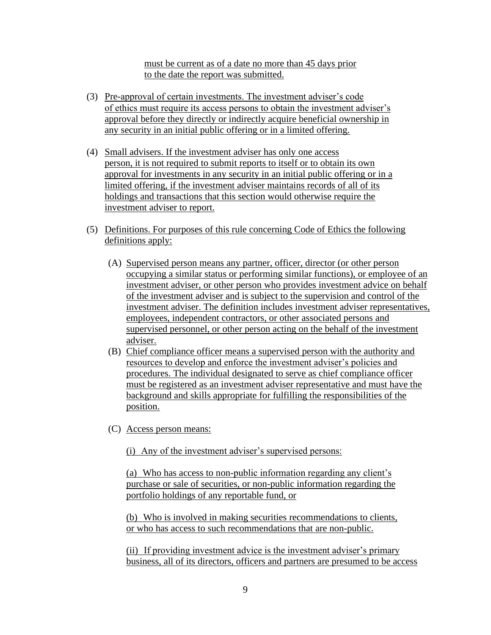must be current as of a date no more than 45 days prior to the date the report was submitted.

- (3) Pre-approval of certain investments. The investment adviser's code of ethics must require its access persons to obtain the investment adviser's approval before they directly or indirectly acquire beneficial ownership in any security in an initial public offering or in a limited offering.
- (4) Small advisers. If the investment adviser has only one access person, it is not required to submit reports to itself or to obtain its own approval for investments in any security in an initial public offering or in a limited offering, if the investment adviser maintains records of all of its holdings and transactions that this section would otherwise require the investment adviser to report.
- (5) Definitions. For purposes of this rule concerning Code of Ethics the following definitions apply:
	- (A) Supervised person means any partner, officer, director (or other person occupying a similar status or performing similar functions), or employee of an investment adviser, or other person who provides investment advice on behalf of the investment adviser and is subject to the supervision and control of the investment adviser. The definition includes investment adviser representatives, employees, independent contractors, or other associated persons and supervised personnel, or other person acting on the behalf of the investment adviser.
	- (B) Chief compliance officer means a supervised person with the authority and resources to develop and enforce the investment adviser's policies and procedures. The individual designated to serve as chief compliance officer must be registered as an investment adviser representative and must have the background and skills appropriate for fulfilling the responsibilities of the position.
	- (C) Access person means:

(i) Any of the investment adviser's supervised persons:

(a) Who has access to non-public information regarding any client's purchase or sale of securities, or non-public information regarding the portfolio holdings of any reportable fund, or

(b) Who is involved in making securities recommendations to clients, or who has access to such recommendations that are non-public.

(ii) If providing investment advice is the investment adviser's primary business, all of its directors, officers and partners are presumed to be access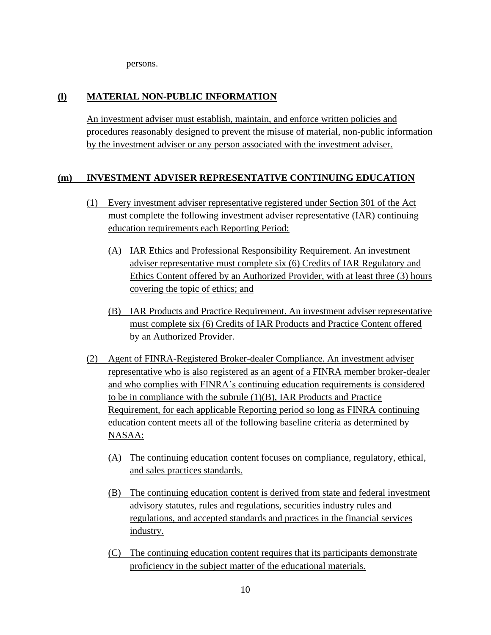persons.

# **(l) MATERIAL NON-PUBLIC INFORMATION**

An investment adviser must establish, maintain, and enforce written policies and procedures reasonably designed to prevent the misuse of material, non-public information by the investment adviser or any person associated with the investment adviser.

# **(m) INVESTMENT ADVISER REPRESENTATIVE CONTINUING EDUCATION**

- (1) Every investment adviser representative registered under Section 301 of the Act must complete the following investment adviser representative (IAR) continuing education requirements each Reporting Period:
	- (A) IAR Ethics and Professional Responsibility Requirement. An investment adviser representative must complete six (6) Credits of IAR Regulatory and Ethics Content offered by an Authorized Provider, with at least three (3) hours covering the topic of ethics; and
	- (B) IAR Products and Practice Requirement. An investment adviser representative must complete six (6) Credits of IAR Products and Practice Content offered by an Authorized Provider.
- (2) Agent of FINRA-Registered Broker-dealer Compliance. An investment adviser representative who is also registered as an agent of a FINRA member broker-dealer and who complies with FINRA's continuing education requirements is considered to be in compliance with the subrule  $(1)(B)$ , IAR Products and Practice Requirement, for each applicable Reporting period so long as FINRA continuing education content meets all of the following baseline criteria as determined by NASAA:
	- (A) The continuing education content focuses on compliance, regulatory, ethical, and sales practices standards.
	- (B) The continuing education content is derived from state and federal investment advisory statutes, rules and regulations, securities industry rules and regulations, and accepted standards and practices in the financial services industry.
	- (C) The continuing education content requires that its participants demonstrate proficiency in the subject matter of the educational materials.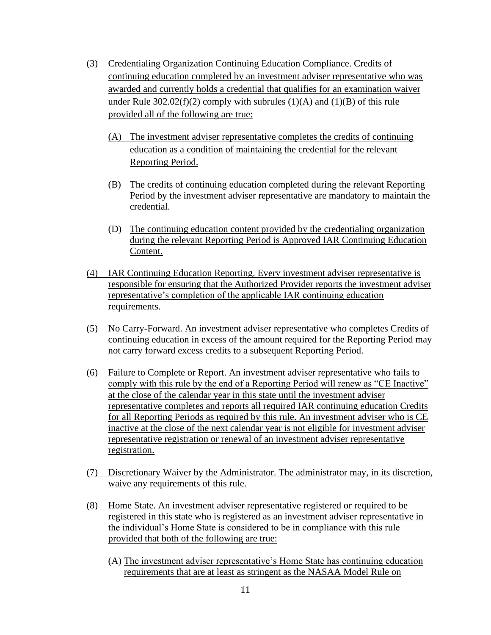- (3) Credentialing Organization Continuing Education Compliance. Credits of continuing education completed by an investment adviser representative who was awarded and currently holds a credential that qualifies for an examination waiver under Rule  $302.02(f)(2)$  comply with subrules (1)(A) and (1)(B) of this rule provided all of the following are true:
	- (A) The investment adviser representative completes the credits of continuing education as a condition of maintaining the credential for the relevant Reporting Period.
	- (B) The credits of continuing education completed during the relevant Reporting Period by the investment adviser representative are mandatory to maintain the credential.
	- (D) The continuing education content provided by the credentialing organization during the relevant Reporting Period is Approved IAR Continuing Education Content.
- (4) IAR Continuing Education Reporting. Every investment adviser representative is responsible for ensuring that the Authorized Provider reports the investment adviser representative's completion of the applicable IAR continuing education requirements.
- (5) No Carry-Forward. An investment adviser representative who completes Credits of continuing education in excess of the amount required for the Reporting Period may not carry forward excess credits to a subsequent Reporting Period.
- (6) Failure to Complete or Report. An investment adviser representative who fails to comply with this rule by the end of a Reporting Period will renew as "CE Inactive" at the close of the calendar year in this state until the investment adviser representative completes and reports all required IAR continuing education Credits for all Reporting Periods as required by this rule. An investment adviser who is CE inactive at the close of the next calendar year is not eligible for investment adviser representative registration or renewal of an investment adviser representative registration.
- (7) Discretionary Waiver by the Administrator. The administrator may, in its discretion, waive any requirements of this rule.
- (8) Home State. An investment adviser representative registered or required to be registered in this state who is registered as an investment adviser representative in the individual's Home State is considered to be in compliance with this rule provided that both of the following are true:
	- (A) The investment adviser representative's Home State has continuing education requirements that are at least as stringent as the NASAA Model Rule on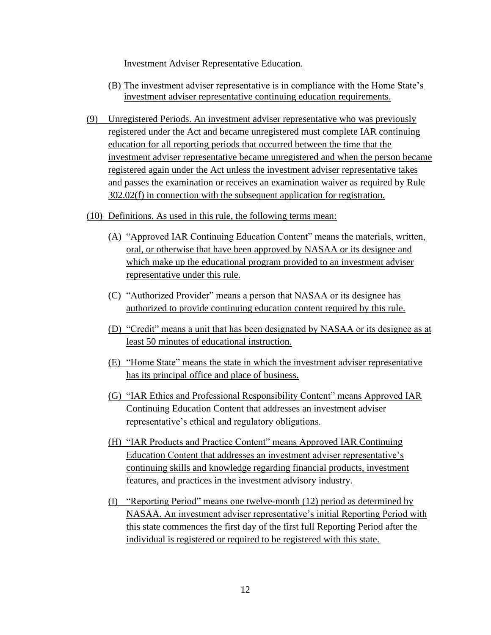Investment Adviser Representative Education.

- (B) The investment adviser representative is in compliance with the Home State's investment adviser representative continuing education requirements.
- (9) Unregistered Periods. An investment adviser representative who was previously registered under the Act and became unregistered must complete IAR continuing education for all reporting periods that occurred between the time that the investment adviser representative became unregistered and when the person became registered again under the Act unless the investment adviser representative takes and passes the examination or receives an examination waiver as required by Rule 302.02(f) in connection with the subsequent application for registration.
- (10) Definitions. As used in this rule, the following terms mean:
	- (A) "Approved IAR Continuing Education Content" means the materials, written, oral, or otherwise that have been approved by NASAA or its designee and which make up the educational program provided to an investment adviser representative under this rule.
	- (C) "Authorized Provider" means a person that NASAA or its designee has authorized to provide continuing education content required by this rule.
	- (D) "Credit" means a unit that has been designated by NASAA or its designee as at least 50 minutes of educational instruction.
	- (E) "Home State" means the state in which the investment adviser representative has its principal office and place of business.
	- (G) "IAR Ethics and Professional Responsibility Content" means Approved IAR Continuing Education Content that addresses an investment adviser representative's ethical and regulatory obligations.
	- (H) "IAR Products and Practice Content" means Approved IAR Continuing Education Content that addresses an investment adviser representative's continuing skills and knowledge regarding financial products, investment features, and practices in the investment advisory industry.
	- (I) "Reporting Period" means one twelve-month (12) period as determined by NASAA. An investment adviser representative's initial Reporting Period with this state commences the first day of the first full Reporting Period after the individual is registered or required to be registered with this state.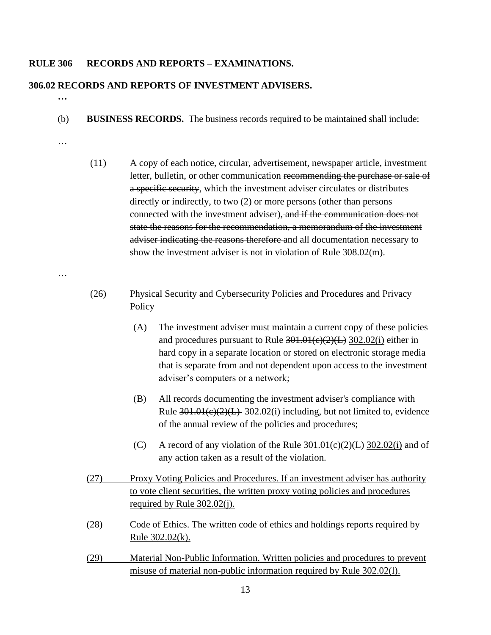#### **RULE 306 RECORDS AND REPORTS – EXAMINATIONS.**

### **306.02 RECORDS AND REPORTS OF INVESTMENT ADVISERS.**

- **…**
- (b) **BUSINESS RECORDS.** The business records required to be maintained shall include:
- …
- (11) A copy of each notice, circular, advertisement, newspaper article, investment letter, bulletin, or other communication recommending the purchase or sale of a specific security, which the investment adviser circulates or distributes directly or indirectly, to two (2) or more persons (other than persons connected with the investment adviser), and if the communication does not state the reasons for the recommendation, a memorandum of the investment adviser indicating the reasons therefore and all documentation necessary to show the investment adviser is not in violation of Rule 308.02(m).
- …
- (26) Physical Security and Cybersecurity Policies and Procedures and Privacy Policy
	- (A) The investment adviser must maintain a current copy of these policies and procedures pursuant to Rule  $301.01(e)(2)(L)$  302.02(i) either in hard copy in a separate location or stored on electronic storage media that is separate from and not dependent upon access to the investment adviser's computers or a network;
	- (B) All records documenting the investment adviser's compliance with Rule  $301.01(c)(2)(L)$  302.02(i) including, but not limited to, evidence of the annual review of the policies and procedures;
	- (C) A record of any violation of the Rule  $301.01 \times (2)(L)$  302.02(i) and of any action taken as a result of the violation.
- (27) Proxy Voting Policies and Procedures. If an investment adviser has authority to vote client securities, the written proxy voting policies and procedures required by Rule 302.02(j).
- (28) Code of Ethics. The written code of ethics and holdings reports required by Rule 302.02(k).
- (29) Material Non-Public Information. Written policies and procedures to prevent misuse of material non-public information required by Rule 302.02(l).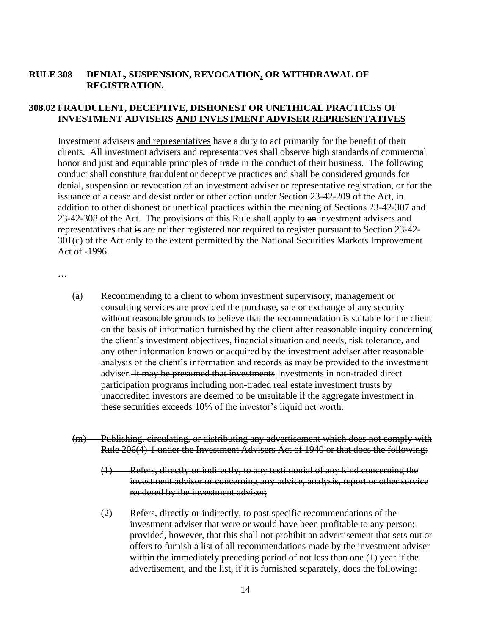# **RULE 308 DENIAL, SUSPENSION, REVOCATION, OR WITHDRAWAL OF REGISTRATION.**

# **308.02 FRAUDULENT, DECEPTIVE, DISHONEST OR UNETHICAL PRACTICES OF INVESTMENT ADVISERS AND INVESTMENT ADVISER REPRESENTATIVES**

Investment advisers and representatives have a duty to act primarily for the benefit of their clients. All investment advisers and representatives shall observe high standards of commercial honor and just and equitable principles of trade in the conduct of their business. The following conduct shall constitute fraudulent or deceptive practices and shall be considered grounds for denial, suspension or revocation of an investment adviser or representative registration, or for the issuance of a cease and desist order or other action under Section 23-42-209 of the Act, in addition to other dishonest or unethical practices within the meaning of Sections 23-42-307 and 23-42-308 of the Act. The provisions of this Rule shall apply to an investment advisers and representatives that is are neither registered nor required to register pursuant to Section 23-42- 301(c) of the Act only to the extent permitted by the National Securities Markets Improvement Act of -1996.

**…**

- (a) Recommending to a client to whom investment supervisory, management or consulting services are provided the purchase, sale or exchange of any security without reasonable grounds to believe that the recommendation is suitable for the client on the basis of information furnished by the client after reasonable inquiry concerning the client's investment objectives, financial situation and needs, risk tolerance, and any other information known or acquired by the investment adviser after reasonable analysis of the client's information and records as may be provided to the investment adviser. It may be presumed that investments Investments in non-traded direct participation programs including non-traded real estate investment trusts by unaccredited investors are deemed to be unsuitable if the aggregate investment in these securities exceeds 10% of the investor's liquid net worth.
- (m) Publishing, circulating, or distributing any advertisement which does not comply with Rule 206(4)-1 under the Investment Advisers Act of 1940 or that does the following:
	- (1) Refers, directly or indirectly, to any testimonial of any kind concerning the investment adviser or concerning any advice, analysis, report or other service rendered by the investment adviser;
	- (2) Refers, directly or indirectly, to past specific recommendations of the investment adviser that were or would have been profitable to any person; provided, however, that this shall not prohibit an advertisement that sets out or offers to furnish a list of all recommendations made by the investment adviser within the immediately preceding period of not less than one (1) year if the advertisement, and the list, if it is furnished separately, does the following: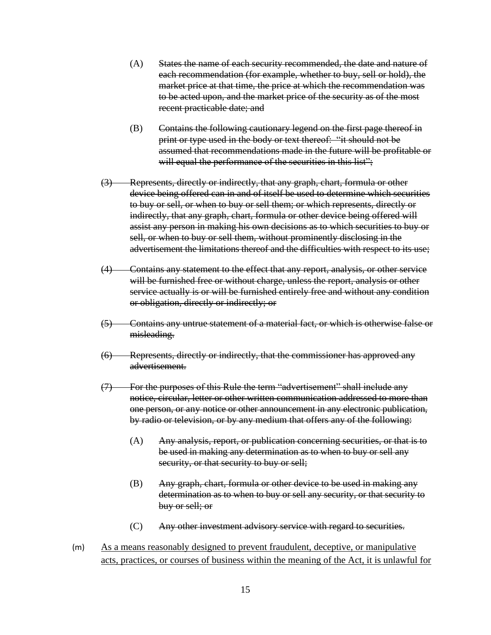- (A) States the name of each security recommended, the date and nature of each recommendation (for example, whether to buy, sell or hold), the market price at that time, the price at which the recommendation was to be acted upon, and the market price of the security as of the most recent practicable date; and
- (B) Contains the following cautionary legend on the first page thereof in print or type used in the body or text thereof: "it should not be assumed that recommendations made in the future will be profitable or will equal the performance of the securities in this list";
- (3) Represents, directly or indirectly, that any graph, chart, formula or other device being offered can in and of itself be used to determine which securities to buy or sell, or when to buy or sell them; or which represents, directly or indirectly, that any graph, chart, formula or other device being offered will assist any person in making his own decisions as to which securities to buy or sell, or when to buy or sell them, without prominently disclosing in the advertisement the limitations thereof and the difficulties with respect to its use;
- (4) Contains any statement to the effect that any report, analysis, or other service will be furnished free or without charge, unless the report, analysis or other service actually is or will be furnished entirely free and without any condition or obligation, directly or indirectly; or
- (5) Contains any untrue statement of a material fact, or which is otherwise false or misleading.
- (6) Represents, directly or indirectly, that the commissioner has approved any advertisement.
- (7) For the purposes of this Rule the term "advertisement" shall include any notice, circular, letter or other written communication addressed to more than one person, or any notice or other announcement in any electronic publication, by radio or television, or by any medium that offers any of the following:
	- (A) Any analysis, report, or publication concerning securities, or that is to be used in making any determination as to when to buy or sell any security, or that security to buy or sell;
	- (B) Any graph, chart, formula or other device to be used in making any determination as to when to buy or sell any security, or that security to buy or sell; or
	- (C) Any other investment advisory service with regard to securities.
- (m) As a means reasonably designed to prevent fraudulent, deceptive, or manipulative acts, practices, or courses of business within the meaning of the Act, it is unlawful for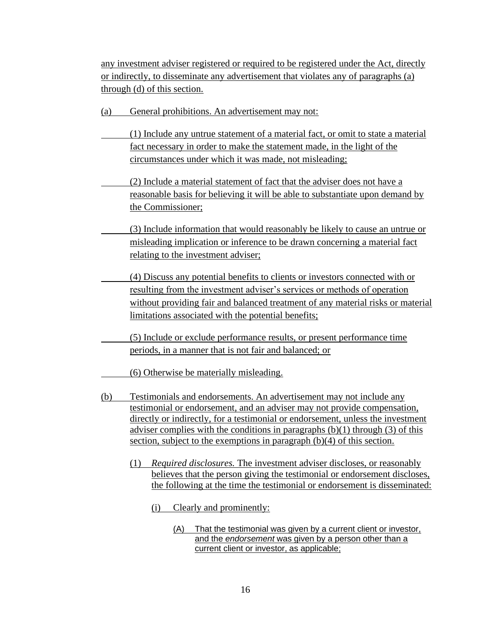any investment adviser registered or required to be registered under the Act, directly or indirectly, to disseminate any advertisement that violates any of paragraphs (a) through (d) of this section.

- (a) General prohibitions. An advertisement may not:
- (1) Include any untrue statement of a material fact, or omit to state a material fact necessary in order to make the statement made, in the light of the circumstances under which it was made, not misleading;
- (2) Include a material statement of fact that the adviser does not have a reasonable basis for believing it will be able to substantiate upon demand by the Commissioner;
- (3) Include information that would reasonably be likely to cause an untrue or misleading implication or inference to be drawn concerning a material fact relating to the investment adviser;
- (4) Discuss any potential benefits to clients or investors connected with or resulting from the investment adviser's services or methods of operation without providing fair and balanced treatment of any material risks or material limitations associated with the potential benefits;
- (5) Include or exclude performance results, or present performance time periods, in a manner that is not fair and balanced; or
	- (6) Otherwise be materially misleading.
- (b) Testimonials and endorsements. An advertisement may not include any testimonial or endorsement, and an adviser may not provide compensation, directly or indirectly, for a testimonial or endorsement, unless the investment adviser complies with the conditions in paragraphs  $(b)(1)$  through  $(3)$  of this section, subject to the exemptions in paragraph (b)(4) of this section.
	- (1) *Required disclosures.* The investment adviser discloses, or reasonably believes that the person giving the testimonial or endorsement discloses, the following at the time the testimonial or endorsement is disseminated:
		- (i) Clearly and prominently:
			- (A) That the testimonial was given by a current client or investor, and the *endorsement* was given by a person other than a current client or investor, as applicable;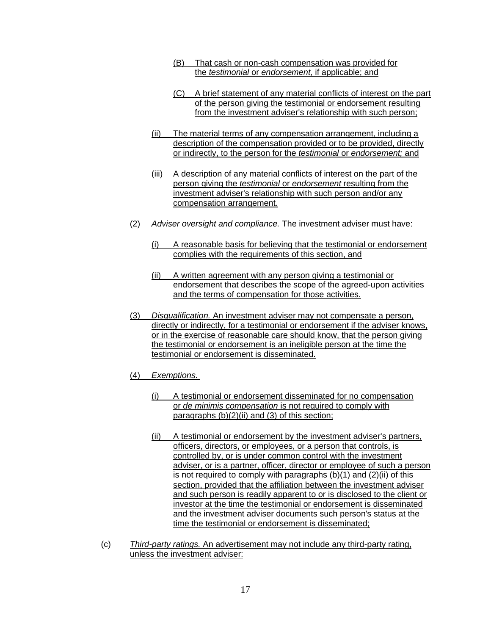- (B) That cash or non-cash compensation was provided for the *testimonial* or *endorsement,* if applicable; and
- (C) A brief statement of any material conflicts of interest on the part of the person giving the testimonial or endorsement resulting from the investment adviser's relationship with such person;
- (ii) The material terms of any compensation arrangement, including a description of the compensation provided or to be provided, directly or indirectly, to the person for the *testimonial* or *endorsement;* and
- (iii) A description of any material conflicts of interest on the part of the person giving the *testimonial* or *endorsement* resulting from the investment adviser's relationship with such person and/or any compensation arrangement.
- (2) *Adviser oversight and compliance.* The investment adviser must have:
	- (i) A reasonable basis for believing that the testimonial or endorsement complies with the requirements of this section, and
	- (ii) A written agreement with any person giving a testimonial or endorsement that describes the scope of the agreed-upon activities and the terms of compensation for those activities.
- (3) *Disqualification.* An investment adviser may not compensate a person, directly or indirectly, for a testimonial or endorsement if the adviser knows, or in the exercise of reasonable care should know, that the person giving the testimonial or endorsement is an ineligible person at the time the testimonial or endorsement is disseminated.
- (4) *Exemptions.*
	- (i) A testimonial or endorsement disseminated for no compensation or *de minimis compensation* is not required to comply with paragraphs (b)(2)(ii) and (3) of this section;
	- (ii) A testimonial or endorsement by the investment adviser's partners, officers, directors, or employees, or a person that controls, is controlled by, or is under common control with the investment adviser, or is a partner, officer, director or employee of such a person is not required to comply with paragraphs (b)(1) and (2)(ii) of this section, provided that the affiliation between the investment adviser and such person is readily apparent to or is disclosed to the client or investor at the time the testimonial or endorsement is disseminated and the investment adviser documents such person's status at the time the testimonial or endorsement is disseminated;
- (c) *Third-party ratings.* An advertisement may not include any third-party rating, unless the investment adviser: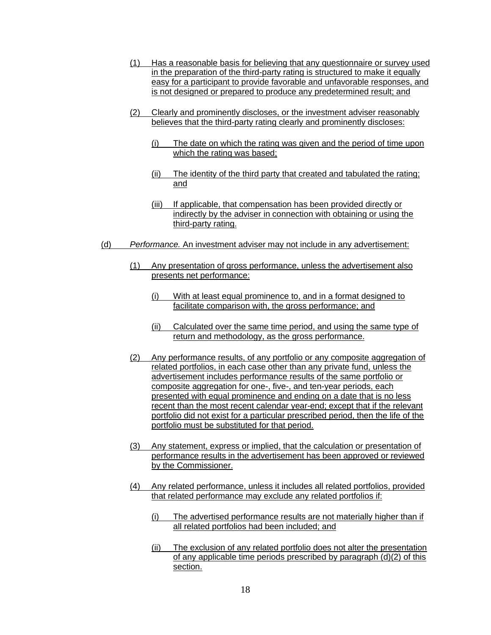- (1) Has a reasonable basis for believing that any questionnaire or survey used in the preparation of the third-party rating is structured to make it equally easy for a participant to provide favorable and unfavorable responses, and is not designed or prepared to produce any predetermined result; and
- (2) Clearly and prominently discloses, or the investment adviser reasonably believes that the third-party rating clearly and prominently discloses:
	- (i) The date on which the rating was given and the period of time upon which the rating was based;
	- (ii) The identity of the third party that created and tabulated the rating; and
	- (iii) If applicable, that compensation has been provided directly or indirectly by the adviser in connection with obtaining or using the third-party rating.
- (d) *Performance.* An investment adviser may not include in any advertisement:
	- (1) Any presentation of gross performance, unless the advertisement also presents net performance:
		- (i) With at least equal prominence to, and in a format designed to facilitate comparison with, the gross performance; and
		- (ii) Calculated over the same time period, and using the same type of return and methodology, as the gross performance.
	- (2) Any performance results, of any portfolio or any composite aggregation of related portfolios, in each case other than any private fund, unless the advertisement includes performance results of the same portfolio or composite aggregation for one-, five-, and ten-year periods, each presented with equal prominence and ending on a date that is no less recent than the most recent calendar year-end; except that if the relevant portfolio did not exist for a particular prescribed period, then the life of the portfolio must be substituted for that period.
	- (3) Any statement, express or implied, that the calculation or presentation of performance results in the advertisement has been approved or reviewed by the Commissioner.
	- (4) Any related performance, unless it includes all related portfolios, provided that related performance may exclude any related portfolios if:
		- (i) The advertised performance results are not materially higher than if all related portfolios had been included; and
		- (ii) The exclusion of any related portfolio does not alter the presentation of any applicable time periods prescribed by paragraph (d)(2) of this section.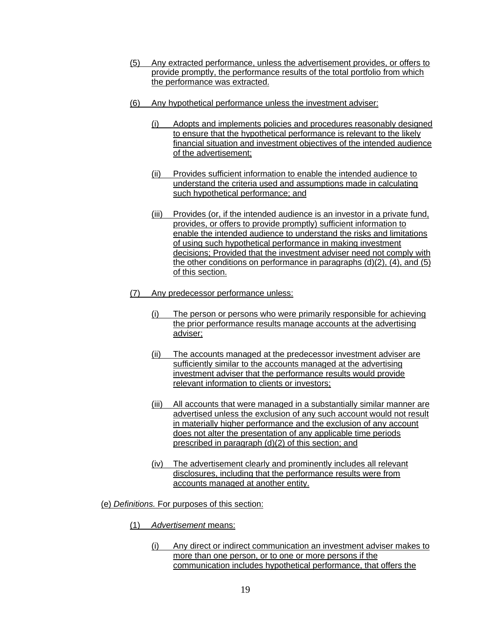- (5) Any extracted performance, unless the advertisement provides, or offers to provide promptly, the performance results of the total portfolio from which the performance was extracted.
- (6) Any hypothetical performance unless the investment adviser:
	- (i) Adopts and implements policies and procedures reasonably designed to ensure that the hypothetical performance is relevant to the likely financial situation and investment objectives of the intended audience of the advertisement;
	- (ii) Provides sufficient information to enable the intended audience to understand the criteria used and assumptions made in calculating such hypothetical performance; and
	- (iii) Provides (or, if the intended audience is an investor in a private fund, provides, or offers to provide promptly) sufficient information to enable the intended audience to understand the risks and limitations of using such hypothetical performance in making investment decisions; Provided that the investment adviser need not comply with the other conditions on performance in paragraphs  $(d)(2)$ ,  $(4)$ , and  $(5)$ of this section.
- (7) Any predecessor performance unless:
	- (i) The person or persons who were primarily responsible for achieving the prior performance results manage accounts at the advertising adviser;
	- (ii) The accounts managed at the predecessor investment adviser are sufficiently similar to the accounts managed at the advertising investment adviser that the performance results would provide relevant information to clients or investors;
	- (iii) All accounts that were managed in a substantially similar manner are advertised unless the exclusion of any such account would not result in materially higher performance and the exclusion of any account does not alter the presentation of any applicable time periods prescribed in paragraph (d)(2) of this section; and
	- (iv) The advertisement clearly and prominently includes all relevant disclosures, including that the performance results were from accounts managed at another entity.
- (e) *Definitions.* For purposes of this section:
	- (1) *Advertisement* means:
		- (i) Any direct or indirect communication an investment adviser makes to more than one person, or to one or more persons if the communication includes hypothetical performance, that offers the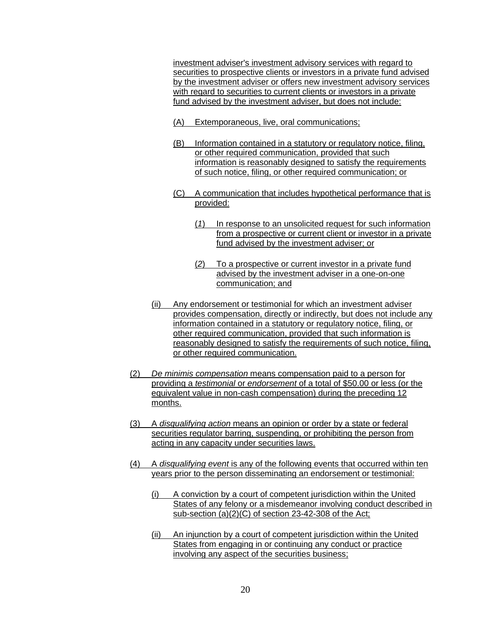investment adviser's investment advisory services with regard to securities to prospective clients or investors in a private fund advised by the investment adviser or offers new investment advisory services with regard to securities to current clients or investors in a private fund advised by the investment adviser, but does not include:

- (A) Extemporaneous, live, oral communications;
- (B) Information contained in a statutory or regulatory notice, filing, or other required communication, provided that such information is reasonably designed to satisfy the requirements of such notice, filing, or other required communication; or
- (C) A communication that includes hypothetical performance that is provided:
	- (*1*) In response to an unsolicited request for such information from a prospective or current client or investor in a private fund advised by the investment adviser; or
	- (*2*) To a prospective or current investor in a private fund advised by the investment adviser in a one-on-one communication; and
- (ii) Any endorsement or testimonial for which an investment adviser provides compensation, directly or indirectly, but does not include any information contained in a statutory or regulatory notice, filing, or other required communication, provided that such information is reasonably designed to satisfy the requirements of such notice, filing, or other required communication.
- (2) *De minimis compensation* means compensation paid to a person for providing a *testimonial* or *endorsement* of a total of \$50.00 or less (or the equivalent value in non-cash compensation) during the preceding 12 months.
- (3) A *disqualifying action* means an opinion or order by a state or federal securities regulator barring, suspending, or prohibiting the person from acting in any capacity under securities laws.
- (4) A *disqualifying event* is any of the following events that occurred within ten years prior to the person disseminating an endorsement or testimonial:
	- (i) A conviction by a court of competent jurisdiction within the United States of any felony or a misdemeanor involving conduct described in sub-section (a)(2)(C) of section 23-42-308 of the Act;
	- (ii) An injunction by a court of competent jurisdiction within the United States from engaging in or continuing any conduct or practice involving any aspect of the securities business;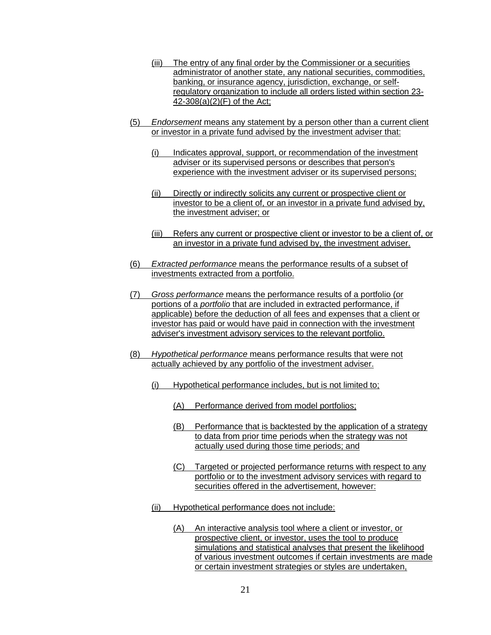- (iii) The entry of any final order by the Commissioner or a securities administrator of another state, any national securities, commodities, banking, or insurance agency, jurisdiction, exchange, or selfregulatory organization to include all orders listed within section 23- 42-308(a)(2)(F) of the Act;
- (5) *Endorsement* means any statement by a person other than a current client or investor in a private fund advised by the investment adviser that:
	- (i) Indicates approval, support, or recommendation of the investment adviser or its supervised persons or describes that person's experience with the investment adviser or its supervised persons;
	- (ii) Directly or indirectly solicits any current or prospective client or investor to be a client of, or an investor in a private fund advised by, the investment adviser; or
	- (iii) Refers any current or prospective client or investor to be a client of, or an investor in a private fund advised by, the investment adviser.
- (6) *Extracted performance* means the performance results of a subset of investments extracted from a portfolio.
- (7) *Gross performance* means the performance results of a portfolio (or portions of a *portfolio* that are included in extracted performance, if applicable) before the deduction of all fees and expenses that a client or investor has paid or would have paid in connection with the investment adviser's investment advisory services to the relevant portfolio.
- (8) *Hypothetical performance* means performance results that were not actually achieved by any portfolio of the investment adviser.
	- (i) Hypothetical performance includes, but is not limited to;
		- (A) Performance derived from model portfolios;
		- (B) Performance that is backtested by the application of a strategy to data from prior time periods when the strategy was not actually used during those time periods; and
		- (C) Targeted or projected performance returns with respect to any portfolio or to the investment advisory services with regard to securities offered in the advertisement, however:
	- (ii) Hypothetical performance does not include:
		- (A) An interactive analysis tool where a client or investor, or prospective client, or investor, uses the tool to produce simulations and statistical analyses that present the likelihood of various investment outcomes if certain investments are made or certain investment strategies or styles are undertaken,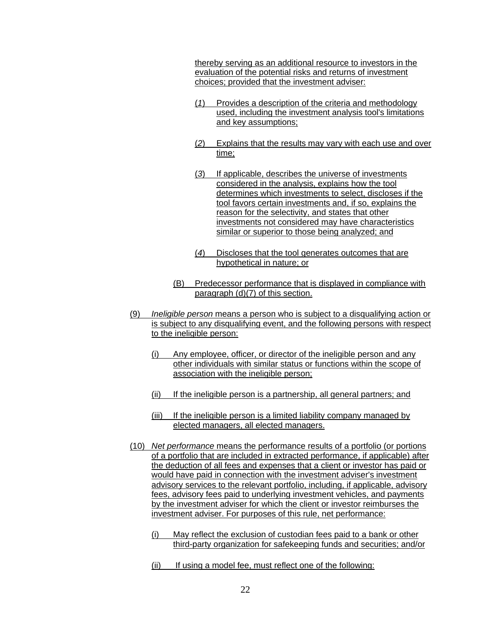thereby serving as an additional resource to investors in the evaluation of the potential risks and returns of investment choices; provided that the investment adviser:

- (*1*) Provides a description of the criteria and methodology used, including the investment analysis tool's limitations and key assumptions;
- (*2*) Explains that the results may vary with each use and over time;
- (*3*) If applicable, describes the universe of investments considered in the analysis, explains how the tool determines which investments to select, discloses if the tool favors certain investments and, if so, explains the reason for the selectivity, and states that other investments not considered may have characteristics similar or superior to those being analyzed; and
- (*4*) Discloses that the tool generates outcomes that are hypothetical in nature; or
- (B) Predecessor performance that is displayed in compliance with paragraph (d)(7) of this section.
- (9) *Ineligible person* means a person who is subject to a disqualifying action or is subject to any disqualifying event, and the following persons with respect to the ineligible person:
	- (i) Any employee, officer, or director of the ineligible person and any other individuals with similar status or functions within the scope of association with the ineligible person;
	- (ii) If the ineligible person is a partnership, all general partners; and
	- (iii) If the ineligible person is a limited liability company managed by elected managers, all elected managers.
- (10) *Net performance* means the performance results of a portfolio (or portions of a portfolio that are included in extracted performance, if applicable) after the deduction of all fees and expenses that a client or investor has paid or would have paid in connection with the investment adviser's investment advisory services to the relevant portfolio, including, if applicable, advisory fees, advisory fees paid to underlying investment vehicles, and payments by the investment adviser for which the client or investor reimburses the investment adviser. For purposes of this rule, net performance:
	- (i) May reflect the exclusion of custodian fees paid to a bank or other third-party organization for safekeeping funds and securities; and/or
	- (ii) If using a model fee, must reflect one of the following: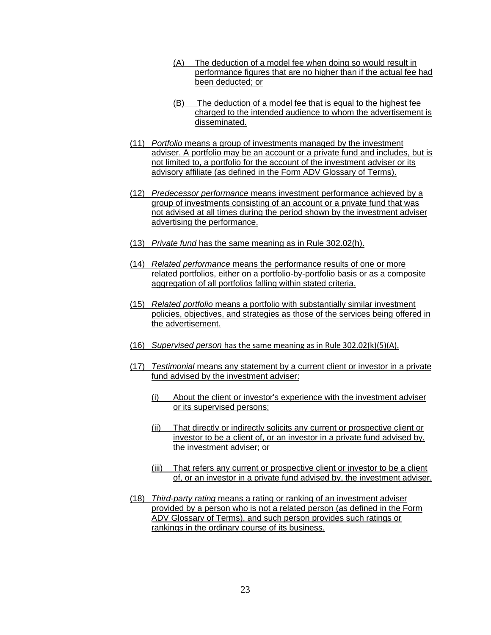- (A) The deduction of a model fee when doing so would result in performance figures that are no higher than if the actual fee had been deducted; or
- (B) The deduction of a model fee that is equal to the highest fee charged to the intended audience to whom the advertisement is disseminated.
- (11) *Portfolio* means a group of investments managed by the investment adviser. A portfolio may be an account or a private fund and includes, but is not limited to, a portfolio for the account of the investment adviser or its advisory affiliate (as defined in the Form ADV Glossary of Terms).
- (12) *Predecessor performance* means investment performance achieved by a group of investments consisting of an account or a private fund that was not advised at all times during the period shown by the investment adviser advertising the performance.
- (13) *Private fund* has the same meaning as in Rule 302.02(h).
- (14) *Related performance* means the performance results of one or more related portfolios, either on a portfolio-by-portfolio basis or as a composite aggregation of all portfolios falling within stated criteria.
- (15) *Related portfolio* means a portfolio with substantially similar investment policies, objectives, and strategies as those of the services being offered in the advertisement.
- (16) *Supervised person* has the same meaning as in Rule 302.02(k)(5)(A).
- (17) *Testimonial* means any statement by a current client or investor in a private fund advised by the investment adviser:
	- (i) About the client or investor's experience with the investment adviser or its supervised persons;
	- (ii) That directly or indirectly solicits any current or prospective client or investor to be a client of, or an investor in a private fund advised by, the investment adviser; or
	- (iii) That refers any current or prospective client or investor to be a client of, or an investor in a private fund advised by, the investment adviser.
- (18) *Third-party rating* means a rating or ranking of an investment adviser provided by a person who is not a related person (as defined in the Form ADV Glossary of Terms), and such person provides such ratings or rankings in the ordinary course of its business.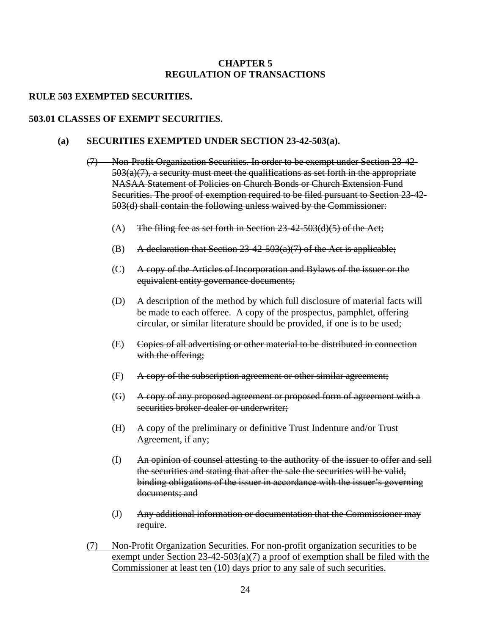# **CHAPTER 5 REGULATION OF TRANSACTIONS**

## **RULE 503 EXEMPTED SECURITIES.**

### **503.01 CLASSES OF EXEMPT SECURITIES.**

## **(a) SECURITIES EXEMPTED UNDER SECTION 23-42-503(a).**

- (7) Non-Profit Organization Securities. In order to be exempt under Section 23-42-  $503(a)(7)$ , a security must meet the qualifications as set forth in the appropriate NASAA Statement of Policies on Church Bonds or Church Extension Fund Securities. The proof of exemption required to be filed pursuant to Section 23-42- 503(d) shall contain the following unless waived by the Commissioner:
	- (A) The filing fee as set forth in Section  $23-42-503(d)(5)$  of the Act;
	- (B) A declaration that Section  $23-42-503(a)(7)$  of the Act is applicable;
	- (C) A copy of the Articles of Incorporation and Bylaws of the issuer or the equivalent entity governance documents;
	- (D) A description of the method by which full disclosure of material facts will be made to each offeree. A copy of the prospectus, pamphlet, offering circular, or similar literature should be provided, if one is to be used;
	- (E) Copies of all advertising or other material to be distributed in connection with the offering;
	- (F) A copy of the subscription agreement or other similar agreement;
	- (G) A copy of any proposed agreement or proposed form of agreement with a securities broker-dealer or underwriter:
	- (H) A copy of the preliminary or definitive Trust Indenture and/or Trust Agreement, if any;
	- (I) An opinion of counsel attesting to the authority of the issuer to offer and sell the securities and stating that after the sale the securities will be valid, binding obligations of the issuer in accordance with the issuer's governing documents; and
	- (J) Any additional information or documentation that the Commissioner may require.
- (7) Non-Profit Organization Securities. For non-profit organization securities to be exempt under Section  $23-42-503(a)(7)$  a proof of exemption shall be filed with the Commissioner at least ten (10) days prior to any sale of such securities.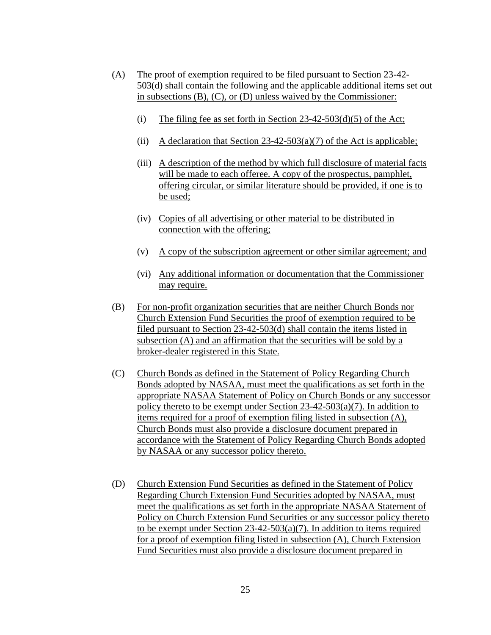- (A) The proof of exemption required to be filed pursuant to Section 23-42- 503(d) shall contain the following and the applicable additional items set out in subsections (B), (C), or (D) unless waived by the Commissioner:
	- (i) The filing fee as set forth in Section  $23-42-503(d)(5)$  of the Act;
	- (ii) A declaration that Section  $23-42-503(a)(7)$  of the Act is applicable;
	- (iii) A description of the method by which full disclosure of material facts will be made to each offeree. A copy of the prospectus, pamphlet, offering circular, or similar literature should be provided, if one is to be used;
	- (iv) Copies of all advertising or other material to be distributed in connection with the offering;
	- (v) A copy of the subscription agreement or other similar agreement; and
	- (vi) Any additional information or documentation that the Commissioner may require.
- (B) For non-profit organization securities that are neither Church Bonds nor Church Extension Fund Securities the proof of exemption required to be filed pursuant to Section 23-42-503(d) shall contain the items listed in subsection (A) and an affirmation that the securities will be sold by a broker-dealer registered in this State.
- (C) Church Bonds as defined in the Statement of Policy Regarding Church Bonds adopted by NASAA, must meet the qualifications as set forth in the appropriate NASAA Statement of Policy on Church Bonds or any successor policy thereto to be exempt under Section  $23-42-503(a)(7)$ . In addition to items required for a proof of exemption filing listed in subsection (A), Church Bonds must also provide a disclosure document prepared in accordance with the Statement of Policy Regarding Church Bonds adopted by NASAA or any successor policy thereto.
- (D) Church Extension Fund Securities as defined in the Statement of Policy Regarding Church Extension Fund Securities adopted by NASAA, must meet the qualifications as set forth in the appropriate NASAA Statement of Policy on Church Extension Fund Securities or any successor policy thereto to be exempt under Section 23-42-503(a)(7). In addition to items required for a proof of exemption filing listed in subsection (A), Church Extension Fund Securities must also provide a disclosure document prepared in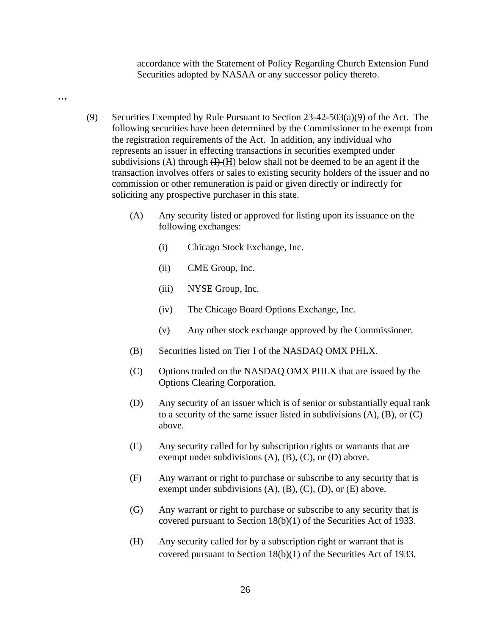accordance with the Statement of Policy Regarding Church Extension Fund Securities adopted by NASAA or any successor policy thereto.

- (9) Securities Exempted by Rule Pursuant to Section  $23-42-503(a)(9)$  of the Act. The following securities have been determined by the Commissioner to be exempt from the registration requirements of the Act. In addition, any individual who represents an issuer in effecting transactions in securities exempted under subdivisions (A) through  $(H)(H)$  below shall not be deemed to be an agent if the transaction involves offers or sales to existing security holders of the issuer and no commission or other remuneration is paid or given directly or indirectly for soliciting any prospective purchaser in this state.
	- (A) Any security listed or approved for listing upon its issuance on the following exchanges:
		- (i) Chicago Stock Exchange, Inc.
		- (ii) CME Group, Inc.

**…**

- (iii) NYSE Group, Inc.
- (iv) The Chicago Board Options Exchange, Inc.
- (v) Any other stock exchange approved by the Commissioner.
- (B) Securities listed on Tier I of the NASDAQ OMX PHLX.
- (C) Options traded on the NASDAQ OMX PHLX that are issued by the Options Clearing Corporation.
- (D) Any security of an issuer which is of senior or substantially equal rank to a security of the same issuer listed in subdivisions (A), (B), or (C) above.
- (E) Any security called for by subscription rights or warrants that are exempt under subdivisions  $(A)$ ,  $(B)$ ,  $(C)$ , or  $(D)$  above.
- (F) Any warrant or right to purchase or subscribe to any security that is exempt under subdivisions  $(A)$ ,  $(B)$ ,  $(C)$ ,  $(D)$ , or  $(E)$  above.
- (G) Any warrant or right to purchase or subscribe to any security that is covered pursuant to Section 18(b)(1) of the Securities Act of 1933.
- (H) Any security called for by a subscription right or warrant that is covered pursuant to Section 18(b)(1) of the Securities Act of 1933.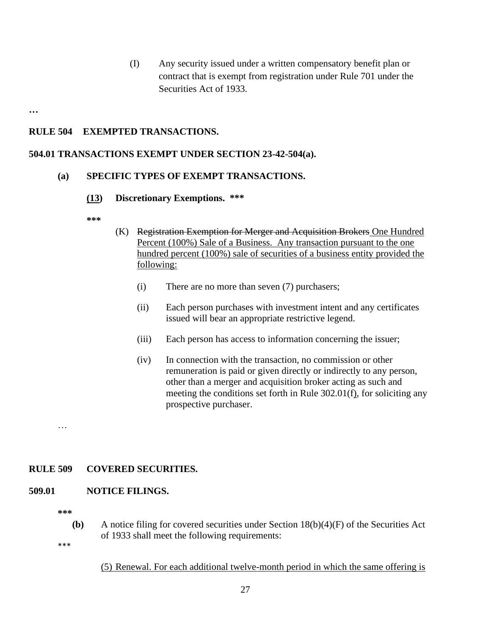(I) Any security issued under a written compensatory benefit plan or contract that is exempt from registration under Rule 701 under the Securities Act of 1933.

**…**

# **RULE 504 EXEMPTED TRANSACTIONS.**

### **504.01 TRANSACTIONS EXEMPT UNDER SECTION 23-42-504(a).**

## **(a) SPECIFIC TYPES OF EXEMPT TRANSACTIONS.**

#### **(13) Discretionary Exemptions. \*\*\***

**\*\*\***

- (K) Registration Exemption for Merger and Acquisition Brokers One Hundred Percent (100%) Sale of a Business. Any transaction pursuant to the one hundred percent (100%) sale of securities of a business entity provided the following:
	- (i) There are no more than seven (7) purchasers;
	- (ii) Each person purchases with investment intent and any certificates issued will bear an appropriate restrictive legend.
	- (iii) Each person has access to information concerning the issuer;
	- (iv) In connection with the transaction, no commission or other remuneration is paid or given directly or indirectly to any person, other than a merger and acquisition broker acting as such and meeting the conditions set forth in Rule 302.01(f), for soliciting any prospective purchaser.

…

## **RULE 509 COVERED SECURITIES.**

#### **509.01 NOTICE FILINGS.**

**\*\*\***

**(b)** A notice filing for covered securities under Section 18(b)(4)(F) of the Securities Act of 1933 shall meet the following requirements:

\*\*\*

#### (5) Renewal. For each additional twelve-month period in which the same offering is